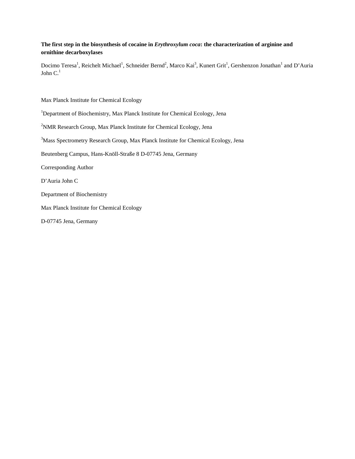## **The first step in the biosynthesis of cocaine in** *Erythroxylum coca***: the characterization of arginine and ornithine decarboxylases**

Docimo Teresa<sup>1</sup>, Reichelt Michael<sup>1</sup>, Schneider Bernd<sup>2</sup>, Marco Kai<sup>3</sup>, Kunert Grit<sup>1</sup>, Gershenzon Jonathan<sup>1</sup> and D'Auria John  $C<sup>1</sup>$ 

Max Planck Institute for Chemical Ecology

- <sup>1</sup>Department of Biochemistry, Max Planck Institute for Chemical Ecology, Jena
- <sup>2</sup>NMR Research Group, Max Planck Institute for Chemical Ecology, Jena
- <sup>3</sup>Mass Spectrometry Research Group, Max Planck Institute for Chemical Ecology, Jena

Beutenberg Campus, Hans-Knöll-Straße 8 D-07745 Jena, Germany

Corresponding Author

D'Auria John C

Department of Biochemistry

Max Planck Institute for Chemical Ecology

D-07745 Jena, Germany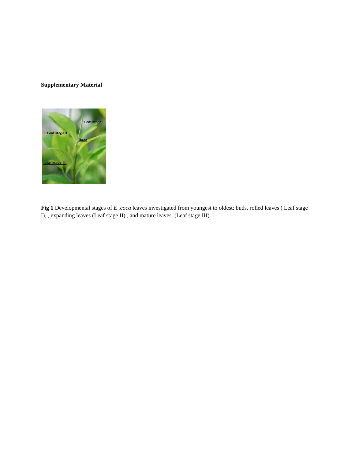## **Supplementary Material**



**Fig 1** Developmental stages of *E .coca* leaves investigated from youngest to oldest: buds, rolled leaves ( Leaf stage I), , expanding leaves (Leaf stage II) , and mature leaves (Leaf stage III).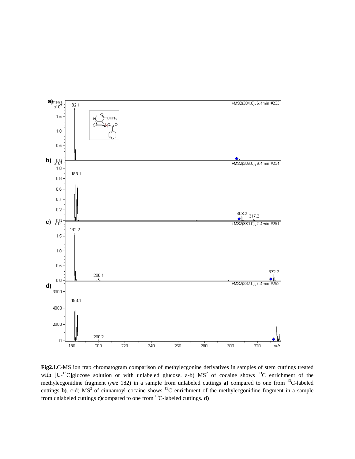

**Fig2.**LC-MS ion trap chromatogram comparison of methylecgonine derivatives in samples of stem cuttings treated with  $[U^{-13}C]$ glucose solution or with unlabeled glucose. a-b)  $MS^2$  of cocaine shows  $^{13}C$  enrichment of the methylecgonidine fragment (*m/z* 182) in a sample from unlabeled cuttings **a)** compared to one from 13C-labeled cuttings **b**). c-d) MS<sup>2</sup> of cinnamoyl cocaine shows <sup>13</sup>C enrichment of the methylecgonidine fragment in a sample from unlabeled cuttings **c)**compared to one from 13C-labeled cuttings. **d)**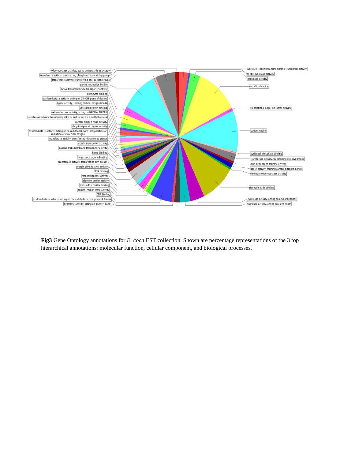

**Fig3** Gene Ontology annotations for *E. coca* EST collection. Shown are percentage representations of the 3 top hierarchical annotations: molecular function, cellular component, and biological processes.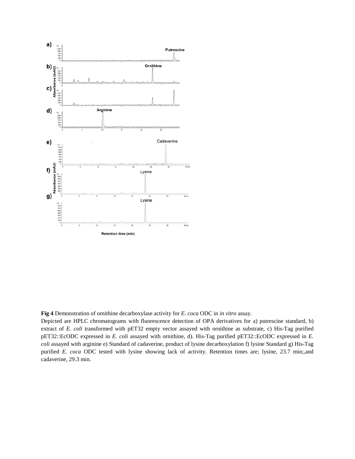

**Fig 4** Demonstration of ornithine decarboxylase activity for *E. coca* ODC in *in vitro* assay.

Depicted are HPLC chromatograms with fluorescence detection of OPA derivatives for a) putrescine standard, b) extract of *E. coli* transformed with pET32 empty vector assayed with ornithine as substrate, c) His-Tag purified pET32::EcODC expressed in *E. coli* assayed with ornithine, d). His-Tag purified pET32::EcODC expressed in *E. coli* assayed with arginine e) Standard of cadaverine, product of lysine decarboxylation f) lysine Standard g) His-Tag purified *E. coca* ODC tested with lysine showing lack of activity. Retention times are; lysine, 23.7 min;,and cadaverine, 29.3 min.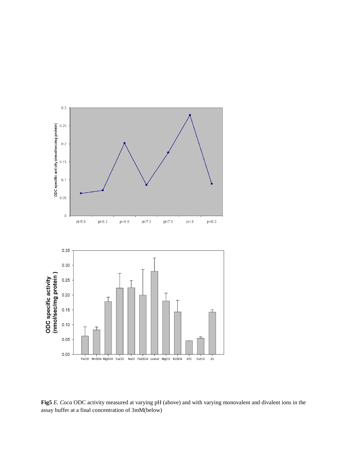

**Fig5** *E. Coca* ODC activity measured at varying pH (above) and with varying monovalent and divalent ions in the assay buffer at a final concentration of 3mM(below)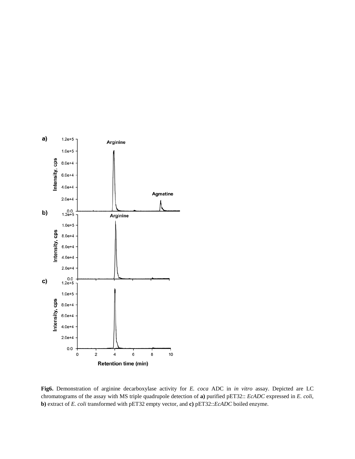

**Fig6.** Demonstration of arginine decarboxylase activity for *E. coca* ADC in *in vitro* assay. Depicted are LC chromatograms of the assay with MS triple quadrupole detection of **a)** purified pET32:: *EcADC* expressed in *E. coli*, **b)** extract of *E. coli* transformed with pET32 empty vector, and **c)** pET32::*EcADC* boiled enzyme.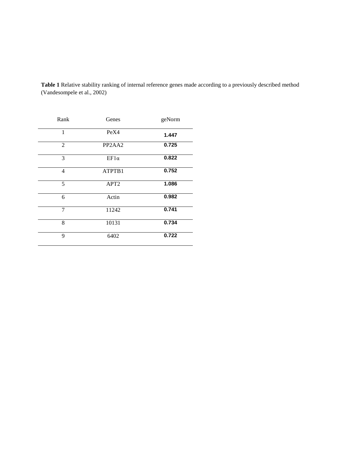| Rank           | Genes                                      | geNorm |
|----------------|--------------------------------------------|--------|
| $\mathbf{1}$   | PeX4                                       | 1.447  |
| 2              | PP <sub>2</sub> A <sub>A<sub>2</sub></sub> | 0.725  |
| 3              | $EF1\alpha$                                | 0.822  |
| $\overline{4}$ | ATPTB1                                     | 0.752  |
| 5              | APT <sub>2</sub>                           | 1.086  |
| 6              | Actin                                      | 0.982  |
| 7              | 11242                                      | 0.741  |
| 8              | 10131                                      | 0.734  |
| 9              | 6402                                       | 0.722  |

**Table 1** Relative stability ranking of internal reference genes made according to a previously described method (Vandesompele et al., 2002)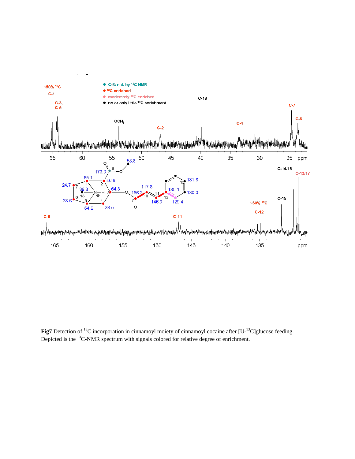

Fig7 Detection of <sup>13</sup>C incorporation in cinnamoyl moiety of cinnamoyl cocaine after [U-<sup>13</sup>C]glucose feeding. Depicted is the  $^{13}$ C-NMR spectrum with signals colored for relative degree of enrichment.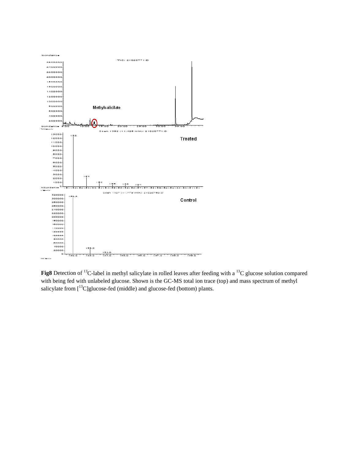

Fig8 Detection of <sup>13</sup>C-label in methyl salicylate in rolled leaves after feeding with a <sup>13</sup>C glucose solution compared with being fed with unlabeled glucose. Shown is the GC-MS total ion trace (top) and mass spectrum of methyl salicylate from [<sup>13</sup>C]glucose-fed (middle) and glucose-fed (bottom) plants.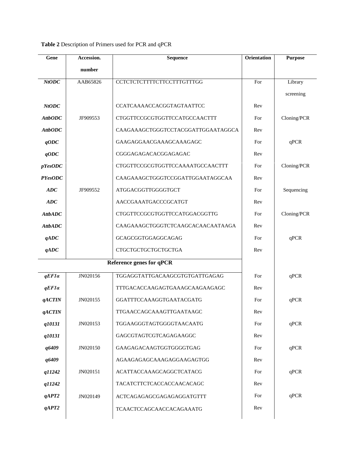**Table 2** Description of Primers used for PCR and qPCR

| Gene                     | Accession. | Sequence                           | <b>Orientation</b> | <b>Purpose</b> |
|--------------------------|------------|------------------------------------|--------------------|----------------|
|                          | number     |                                    |                    |                |
| NtODC                    | AAB65826   | <b>CCTCTCTCTTTTCTTCCTTTGTTTGG</b>  | For                | Library        |
|                          |            |                                    |                    | screening      |
| <b>NtODC</b>             |            | CCATCAAAACCACGGTAGTAATTCC          | Rev                |                |
| <b>AttbODC</b>           | JF909553   | CTGGTTCCGCGTGGTTCCATGCCAACTTT      | For                | Cloning/PCR    |
| <b>AttbODC</b>           |            | CAAGAAAGCTGGGTCCTACGGATTGGAATAGGCA | Rev                |                |
| qODC                     |            | GAAGAGGAACGAAAGCAAAGAGC            | For                | qPCR           |
| qODC                     |            | CGGGAGAGACACGGAGAGAC               | Rev                |                |
| pYesODC                  |            | CTGGTTCCGCGTGGTTCCAAAATGCCAACTTT   | For                | Cloning/PCR    |
| <b>PYesODC</b>           |            | CAAGAAAGCTGGGTCCGGATTGGAATAGGCAA   | Rev                |                |
| ADC                      | JF909552   | ATGGACGGTTGGGGTGCT                 | For                | Sequencing     |
| ADC                      |            | AACCGAAATGACCCGCATGT               | Rev                |                |
| <b>AttbADC</b>           |            | CTGGTTCCGCGTGGTTCCATGGACGGTTG      | For                | Cloning/PCR    |
| <b>AttbADC</b>           |            | CAAGAAAGCTGGGTCTCAAGCACAACAATAAGA  | Rev                |                |
| qADC                     |            | GCAGCGGTGGAGGCAGAG                 | For                | qPCR           |
| qADC                     |            | CTGCTGCTGCTGCTGCTGA                | Rev                |                |
| Reference genes for qPCR |            |                                    |                    |                |
| qEFla                    | JN020156   | TGGAGGTATTGACAAGCGTGTGATTGAGAG     | For                | qPCR           |
| qEFla                    |            | TTTGACACCAAGAGTGAAAGCAAGAAGAGC     | Rev                |                |
| <i><b>qACTIN</b></i>     | JN020155   | GGATTTCCAAAGGTGAATACGATG           | For                | qPCR           |
| <b>qACTIN</b>            |            | TTGAACCAGCAAAGTTGAATAAGC           | Rev                |                |
| q10131                   | JN020153   | TGGAAGGGTAGTGGGGTAACAATG           | For                | qPCR           |
| q10131                   |            | GAGCGTAGTCGTCAGAGAAGGC             | Rev                |                |
| q6409                    | JN020150   | GAAGAGACAAGTGGTGGGGTGAG            | For                | qPCR           |
| q6409                    |            | AGAAGAGAGCAAAGAGGAAGAGTGG          | Rev                |                |
| q11242                   | JN020151   | ACATTACCAAAGCAGGCTCATACG           | For                | qPCR           |
| q11242                   |            | TACATCTTCTCACCACCAACACAGC          | Rev                |                |
| qAPT2                    | JN020149   | ACTCAGAGAGCGAGAGAGGATGTTT          | For                | qPCR           |
| qAPT2                    |            | TCAACTCCAGCAACCACAGAAATG           | Rev                |                |
|                          |            |                                    |                    |                |